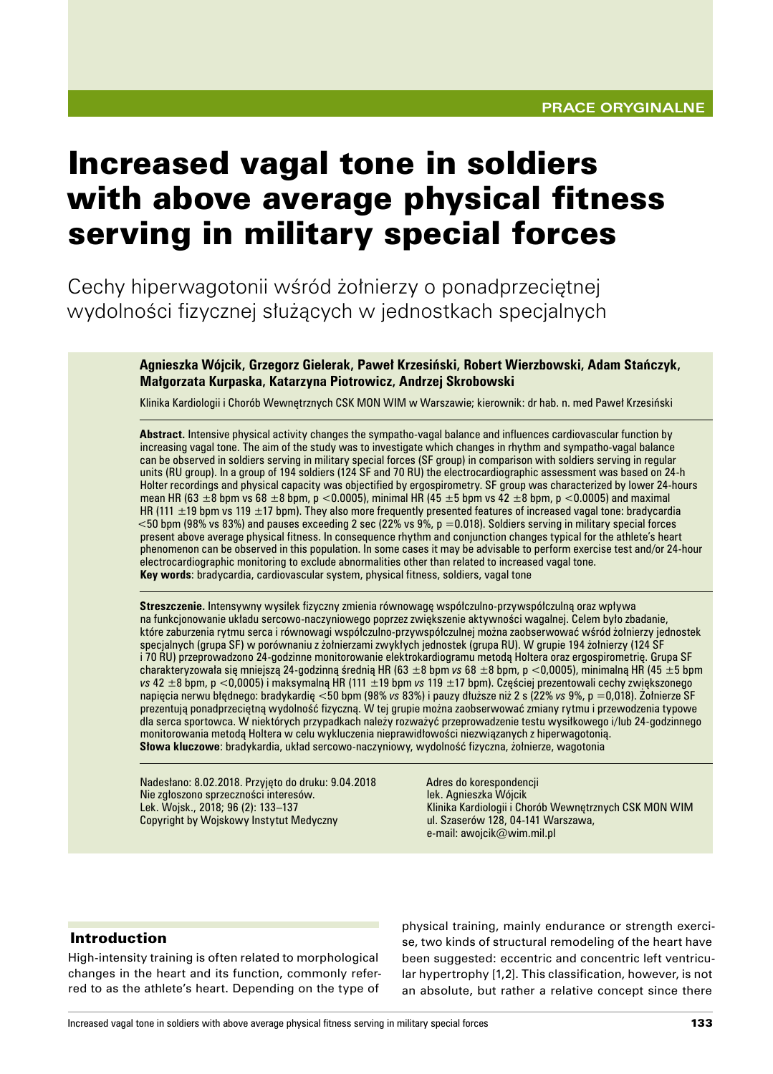# Increased vagal tone in soldiers with above average physical fitness serving in military special forces

Cechy hiperwagotonii wśród żołnierzy o ponadprzeciętnej wydolności fizycznej służących w jednostkach specjalnych

> **Agnieszka Wójcik, Grzegorz Gielerak, Paweł Krzesiński, Robert Wierzbowski, Adam Stańczyk, Małgorzata Kurpaska, Katarzyna Piotrowicz, Andrzej Skrobowski**

Klinika Kardiologii i Chorób Wewnętrznych CSK MON WIM w Warszawie; kierownik: dr hab. n. med Paweł Krzesiński

**Abstract.** Intensive physical activity changes the sympatho-vagal balance and influences cardiovascular function by increasing vagal tone. The aim of the study was to investigate which changes in rhythm and sympatho-vagal balance can be observed in soldiers serving in military special forces (SF group) in comparison with soldiers serving in regular units (RU group). In a group of 194 soldiers (124 SF and 70 RU) the electrocardiographic assessment was based on 24-h Holter recordings and physical capacity was objectified by ergospirometry. SF group was characterized by lower 24-hours mean HR (63  $\pm$ 8 bpm vs 68  $\pm$ 8 bpm, p <0.0005), minimal HR (45  $\pm$ 5 bpm vs 42  $\pm$ 8 bpm, p <0.0005) and maximal HR (111  $\pm$ 19 bpm vs 119  $\pm$ 17 bpm). They also more frequently presented features of increased vagal tone: bradycardia <50 bpm (98% vs 83%) and pauses exceeding 2 sec (22% vs 9%, p =0.018). Soldiers serving in military special forces present above average physical fitness. In consequence rhythm and conjunction changes typical for the athlete's heart phenomenon can be observed in this population. In some cases it may be advisable to perform exercise test and/or 24-hour electrocardiographic monitoring to exclude abnormalities other than related to increased vagal tone. **Key words**: bradycardia, cardiovascular system, physical fitness, soldiers, vagal tone

**Streszczenie.** Intensywny wysiłek fizyczny zmienia równowagę współczulno-przywspółczulną oraz wpływa na funkcjonowanie układu sercowo-naczyniowego poprzez zwiększenie aktywności wagalnej. Celem było zbadanie, które zaburzenia rytmu serca i równowagi współczulno-przywspółczulnej można zaobserwować wśród żołnierzy jednostek specjalnych (grupa SF) w porównaniu z żołnierzami zwykłych jednostek (grupa RU). W grupie 194 żołnierzy (124 SF i 70 RU) przeprowadzono 24-godzinne monitorowanie elektrokardiogramu metodą Holtera oraz ergospirometrię. Grupa SF charakteryzowała się mniejszą 24-godzinną średnią HR (63 ±8 bpm *vs* 68 ±8 bpm, p <0,0005), minimalną HR (45 ±5 bpm *vs* 42 ±8 bpm, p <0,0005) i maksymalną HR (111 ±19 bpm *vs* 119 ±17 bpm). Częściej prezentowali cechy zwiększonego napięcia nerwu błędnego: bradykardię <50 bpm (98% *vs* 83%) i pauzy dłuższe niż 2 s (22% *vs* 9%, p =0,018). Żołnierze SF prezentują ponadprzeciętną wydolność fizyczną. W tej grupie można zaobserwować zmiany rytmu i przewodzenia typowe dla serca sportowca. W niektórych przypadkach należy rozważyć przeprowadzenie testu wysiłkowego i/lub 24-godzinnego monitorowania metodą Holtera w celu wykluczenia nieprawidłowości niezwiązanych z hiperwagotonią. **Słowa kluczowe**: bradykardia, układ sercowo-naczyniowy, wydolność fizyczna, żołnierze, wagotonia

Nadesłano: 8.02.2018. Przyjęto do druku: 9.04.2018 Nie zgłoszono sprzeczności interesów. Lek. Wojsk., 2018; 96 (2): 133–137 Copyright by Wojskowy Instytut Medyczny

Adres do korespondencji lek. Agnieszka Wójcik Klinika Kardiologii i Chorób Wewnętrznych CSK MON WIM ul. Szaserów 128, 04-141 Warszawa, e-mail: awojcik@wim.mil.pl

#### Introduction

High-intensity training is often related to morphological changes in the heart and its function, commonly referred to as the athlete's heart. Depending on the type of physical training, mainly endurance or strength exercise, two kinds of structural remodeling of the heart have been suggested: eccentric and concentric left ventricular hypertrophy [1,2]. This classification, however, is not an absolute, but rather a relative concept since there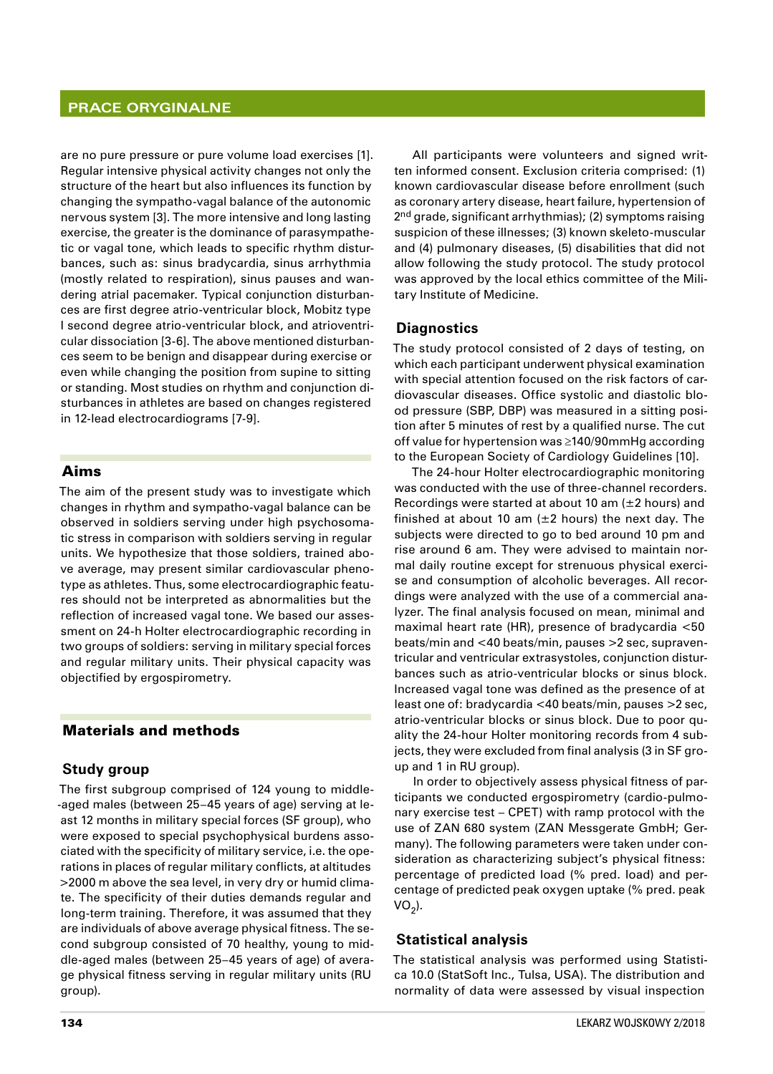#### **Prace oryginalne**

are no pure pressure or pure volume load exercises [1]. Regular intensive physical activity changes not only the structure of the heart but also influences its function by changing the sympatho-vagal balance of the autonomic nervous system [3]. The more intensive and long lasting exercise, the greater is the dominance of parasympathetic or vagal tone, which leads to specific rhythm disturbances, such as: sinus bradycardia, sinus arrhythmia (mostly related to respiration), sinus pauses and wandering atrial pacemaker. Typical conjunction disturbances are first degree atrio-ventricular block, Mobitz type I second degree atrio-ventricular block, and atrioventricular dissociation [3-6]. The above mentioned disturbances seem to be benign and disappear during exercise or even while changing the position from supine to sitting or standing. Most studies on rhythm and conjunction disturbances in athletes are based on changes registered in 12-lead electrocardiograms [7-9].

## Aims

The aim of the present study was to investigate which changes in rhythm and sympatho-vagal balance can be observed in soldiers serving under high psychosomatic stress in comparison with soldiers serving in regular units. We hypothesize that those soldiers, trained above average, may present similar cardiovascular phenotype as athletes. Thus, some electrocardiographic features should not be interpreted as abnormalities but the reflection of increased vagal tone. We based our assessment on 24-h Holter electrocardiographic recording in two groups of soldiers: serving in military special forces and regular military units. Their physical capacity was objectified by ergospirometry.

### Materials and methods

#### **Study group**

The first subgroup comprised of 124 young to middle- -aged males (between 25–45 years of age) serving at least 12 months in military special forces (SF group), who were exposed to special psychophysical burdens associated with the specificity of military service, i.e. the operations in places of regular military conflicts, at altitudes >2000 m above the sea level, in very dry or humid climate. The specificity of their duties demands regular and long-term training. Therefore, it was assumed that they are individuals of above average physical fitness. The second subgroup consisted of 70 healthy, young to middle-aged males (between 25–45 years of age) of average physical fitness serving in regular military units (RU group).

All participants were volunteers and signed written informed consent. Exclusion criteria comprised: (1) known cardiovascular disease before enrollment (such as coronary artery disease, heart failure, hypertension of 2<sup>nd</sup> grade, significant arrhythmias); (2) symptoms raising suspicion of these illnesses; (3) known skeleto-muscular and (4) pulmonary diseases, (5) disabilities that did not allow following the study protocol. The study protocol was approved by the local ethics committee of the Military Institute of Medicine.

#### **Diagnostics**

The study protocol consisted of 2 days of testing, on which each participant underwent physical examination with special attention focused on the risk factors of cardiovascular diseases. Office systolic and diastolic blood pressure (SBP, DBP) was measured in a sitting position after 5 minutes of rest by a qualified nurse. The cut off value for hypertension was ≥140/90mmHg according to the European Society of Cardiology Guidelines [10].

The 24-hour Holter electrocardiographic monitoring was conducted with the use of three-channel recorders. Recordings were started at about 10 am  $(\pm 2$  hours) and finished at about 10 am  $(\pm 2 \text{ hours})$  the next day. The subjects were directed to go to bed around 10 pm and rise around 6 am. They were advised to maintain normal daily routine except for strenuous physical exercise and consumption of alcoholic beverages. All recordings were analyzed with the use of a commercial analyzer. The final analysis focused on mean, minimal and maximal heart rate (HR), presence of bradycardia <50 beats/min and <40 beats/min, pauses >2 sec, supraventricular and ventricular extrasystoles, conjunction disturbances such as atrio-ventricular blocks or sinus block. Increased vagal tone was defined as the presence of at least one of: bradycardia <40 beats/min, pauses >2 sec, atrio-ventricular blocks or sinus block. Due to poor quality the 24-hour Holter monitoring records from 4 subjects, they were excluded from final analysis (3 in SF group and 1 in RU group).

In order to objectively assess physical fitness of participants we conducted ergospirometry (cardio-pulmonary exercise test – CPET) with ramp protocol with the use of ZAN 680 system (ZAN Messgerate GmbH; Germany). The following parameters were taken under consideration as characterizing subject's physical fitness: percentage of predicted load (% pred. load) and percentage of predicted peak oxygen uptake (% pred. peak  $VO<sub>2</sub>$ ).

#### **Statistical analysis**

The statistical analysis was performed using Statistica 10.0 (StatSoft Inc., Tulsa, USA). The distribution and normality of data were assessed by visual inspection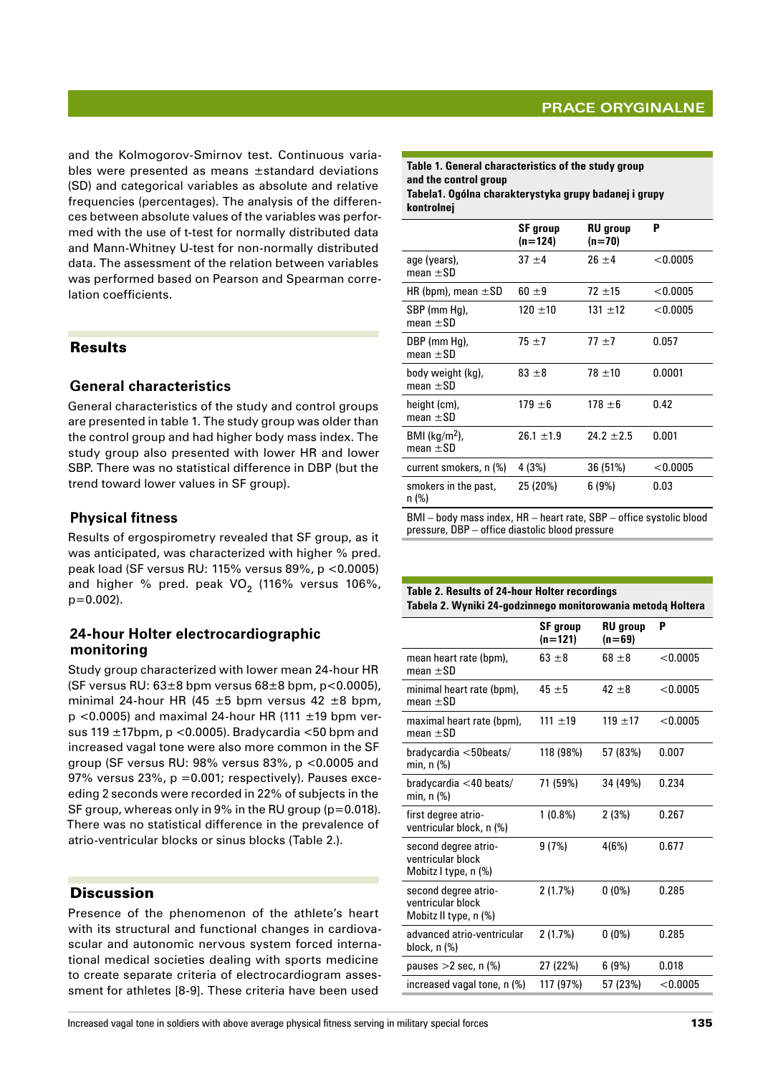# **Prace oryginalne**

and the Kolmogorov-Smirnov test. Continuous variables were presented as means ±standard deviations (SD) and categorical variables as absolute and relative frequencies (percentages). The analysis of the differences between absolute values of the variables was performed with the use of t-test for normally distributed data and Mann-Whitney U-test for non-normally distributed data. The assessment of the relation between variables was performed based on Pearson and Spearman correlation coefficients.

## Results

## **General characteristics**

General characteristics of the study and control groups are presented in table 1. The study group was older than the control group and had higher body mass index. The study group also presented with lower HR and lower SBP. There was no statistical difference in DBP (but the trend toward lower values in SF group).

## **Physical fitness**

Results of ergospirometry revealed that SF group, as it was anticipated, was characterized with higher % pred. peak load (SF versus RU: 115% versus 89%, p <0.0005) and higher % pred. peak  $VO<sub>2</sub>$  (116% versus 106%,  $p=0.002$ ).

## **24-hour Holter electrocardiographic monitoring**

Study group characterized with lower mean 24-hour HR (SF versus RU:  $63\pm8$  bpm versus  $68\pm8$  bpm, p<0.0005), minimal 24-hour HR (45  $\pm$ 5 bpm versus 42  $\pm$ 8 bpm,  $p$  <0.0005) and maximal 24-hour HR (111  $\pm$ 19 bpm versus 119 ±17bpm, p <0.0005). Bradycardia <50 bpm and increased vagal tone were also more common in the SF group (SF versus RU: 98% versus 83%, p <0.0005 and 97% versus 23%,  $p = 0.001$ ; respectively). Pauses exceeding 2 seconds were recorded in 22% of subjects in the SF group, whereas only in 9% in the RU group (p=0.018). There was no statistical difference in the prevalence of atrio-ventricular blocks or sinus blocks (Table 2.).

## **Discussion**

Presence of the phenomenon of the athlete's heart with its structural and functional changes in cardiovascular and autonomic nervous system forced international medical societies dealing with sports medicine to create separate criteria of electrocardiogram assessment for athletes [8-9]. These criteria have been used **Table 1. General characteristics of the study group and the control group Tabela1. Ogólna charakterystyka grupy badanej i grupy kontrolnej**

|                                    | <b>SF</b> group<br>(n=124) | <b>RU</b> group<br>$(n=70)$ | P          |
|------------------------------------|----------------------------|-----------------------------|------------|
| age (years),<br>mean $\pm$ SD      | $37 + 4$                   | $26 \pm 4$                  | $<$ 0.0005 |
| HR (bpm), mean $\pm$ SD            | $60 \pm 9$                 | $72 + 15$                   | < 0.0005   |
| SBP (mm Hg),<br>mean $\pm$ SD      | $120 \pm 10$               | $131 + 12$                  | < 0.0005   |
| DBP (mm Hq),<br>mean $\pm$ SD      | $75 + 7$                   | $77 + 7$                    | 0.057      |
| body weight (kg),<br>mean $\pm$ SD | $83 \pm 8$                 | $78 + 10$                   | 0.0001     |
| height (cm),<br>mean $\pm$ SD      | $179 \pm 6$                | $178 \pm 6$                 | 0.42       |
| BMI ( $kg/m2$ ),<br>mean $\pm$ SD  | $26.1 \pm 1.9$             | $24.2 \pm 2.5$              | 0.001      |
| current smokers, n (%)             | 4 (3%)                     | 36 (51%)                    | < 0.0005   |
| smokers in the past,<br>n (%)      | 25 (20%)                   | 6(9%)                       | 0.03       |

BMI – body mass index, HR – heart rate, SBP – office systolic blood pressure, DBP – office diastolic blood pressure

#### **Table 2. Results of 24-hour Holter recordings Tabela 2. Wyniki 24-godzinnego monitorowania metodą Holtera**

|                                                                    | <b>SF</b> group<br>$(n=121)$ | <b>RU</b> group<br>$(n=69)$ | P        |
|--------------------------------------------------------------------|------------------------------|-----------------------------|----------|
| mean heart rate (bpm),<br>mean $\pm$ SD                            | $63 \pm 8$                   | $68 \pm 8$                  | < 0.0005 |
| minimal heart rate (bpm),<br>mean $\pm$ SD                         | $45 + 5$                     | $42 + 8$                    | < 0.0005 |
| maximal heart rate (bpm),<br>mean $+SD$                            | 111 $\pm$ 19                 | $119 + 17$                  | < 0.0005 |
| bradycardia <sub>50</sub> beats/<br>min. $n$ $\%$ )                | 118 (98%)                    | 57 (83%)                    | 0.007    |
| bradycardia <40 beats/<br>min, n (%)                               | 71 (59%)                     | 34 (49%)                    | 0.234    |
| first degree atrio-<br>ventricular block, n (%)                    | $1(0.8\%)$                   | 2(3%)                       | 0.267    |
| second degree atrio-<br>ventricular block<br>Mobitz I type, n (%)  | 9(7%)                        | 4(6%)                       | 0.677    |
| second degree atrio-<br>ventricular block<br>Mobitz II type, n (%) | 2(1.7%)                      | $0(0\%)$                    | 0.285    |
| advanced atrio-ventricular<br>block, n (%)                         | 2(1.7%)                      | $0(0\%)$                    | 0.285    |
| pauses $>2$ sec, n $(\%)$                                          | 27 (22%)                     | 6(9%)                       | 0.018    |
| increased vagal tone, n (%)                                        | 117 (97%)                    | 57 (23%)                    | < 0.0005 |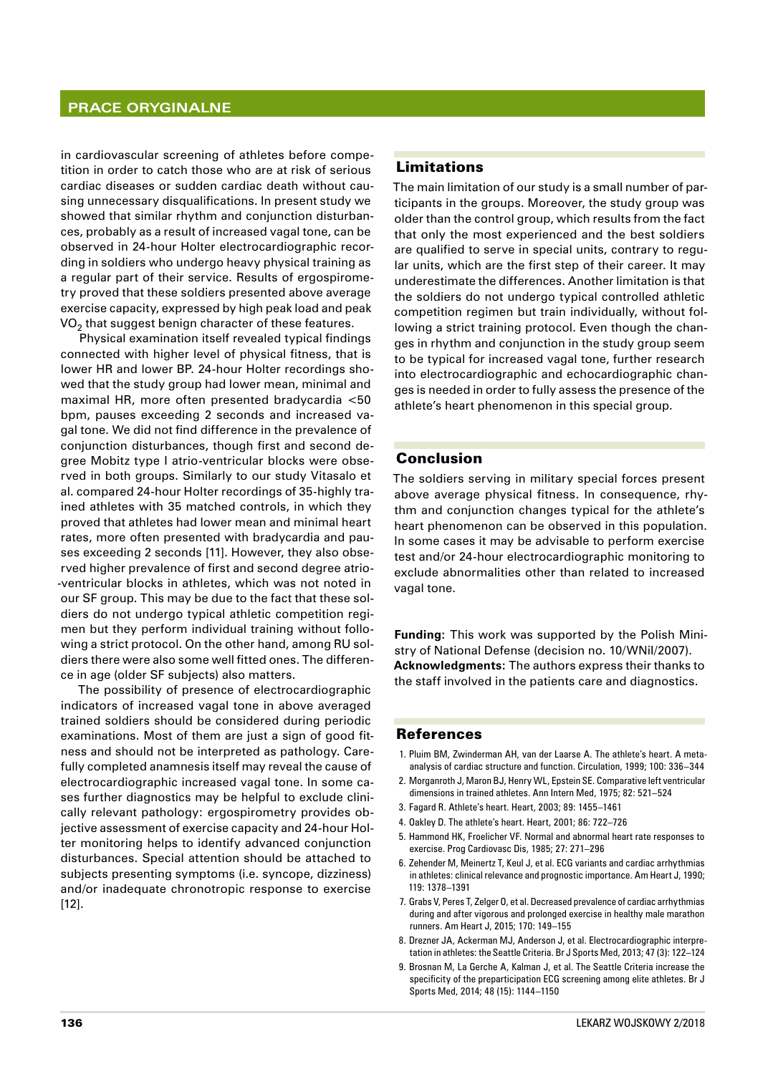#### **Prace oryginalne**

in cardiovascular screening of athletes before competition in order to catch those who are at risk of serious cardiac diseases or sudden cardiac death without causing unnecessary disqualifications. In present study we showed that similar rhythm and conjunction disturbances, probably as a result of increased vagal tone, can be observed in 24-hour Holter electrocardiographic recording in soldiers who undergo heavy physical training as a regular part of their service. Results of ergospirometry proved that these soldiers presented above average exercise capacity, expressed by high peak load and peak  $VO<sub>2</sub>$  that suggest benign character of these features.

Physical examination itself revealed typical findings connected with higher level of physical fitness, that is lower HR and lower BP. 24-hour Holter recordings showed that the study group had lower mean, minimal and maximal HR, more often presented bradycardia <50 bpm, pauses exceeding 2 seconds and increased vagal tone. We did not find difference in the prevalence of conjunction disturbances, though first and second degree Mobitz type I atrio-ventricular blocks were observed in both groups. Similarly to our study Vitasalo et al. compared 24-hour Holter recordings of 35-highly trained athletes with 35 matched controls, in which they proved that athletes had lower mean and minimal heart rates, more often presented with bradycardia and pauses exceeding 2 seconds [11]. However, they also observed higher prevalence of first and second degree atrio- -ventricular blocks in athletes, which was not noted in our SF group. This may be due to the fact that these soldiers do not undergo typical athletic competition regimen but they perform individual training without following a strict protocol. On the other hand, among RU soldiers there were also some well fitted ones. The difference in age (older SF subjects) also matters.

The possibility of presence of electrocardiographic indicators of increased vagal tone in above averaged trained soldiers should be considered during periodic examinations. Most of them are just a sign of good fitness and should not be interpreted as pathology. Carefully completed anamnesis itself may reveal the cause of electrocardiographic increased vagal tone. In some cases further diagnostics may be helpful to exclude clinically relevant pathology: ergospirometry provides objective assessment of exercise capacity and 24-hour Holter monitoring helps to identify advanced conjunction disturbances. Special attention should be attached to subjects presenting symptoms (i.e. syncope, dizziness) and/or inadequate chronotropic response to exercise [12].

## Limitations

The main limitation of our study is a small number of participants in the groups. Moreover, the study group was older than the control group, which results from the fact that only the most experienced and the best soldiers are qualified to serve in special units, contrary to regular units, which are the first step of their career. It may underestimate the differences. Another limitation is that the soldiers do not undergo typical controlled athletic competition regimen but train individually, without following a strict training protocol. Even though the changes in rhythm and conjunction in the study group seem to be typical for increased vagal tone, further research into electrocardiographic and echocardiographic changes is needed in order to fully assess the presence of the athlete's heart phenomenon in this special group.

#### Conclusion

The soldiers serving in military special forces present above average physical fitness. In consequence, rhythm and conjunction changes typical for the athlete's heart phenomenon can be observed in this population. In some cases it may be advisable to perform exercise test and/or 24-hour electrocardiographic monitoring to exclude abnormalities other than related to increased vagal tone.

**Funding:** This work was supported by the Polish Ministry of National Defense (decision no. 10/WNiI/2007). **Acknowledgments:** The authors express their thanks to the staff involved in the patients care and diagnostics.

#### References

- 1. Pluim BM, Zwinderman AH, van der Laarse A. The athlete's heart. A metaanalysis of cardiac structure and function. Circulation, 1999; 100: 336–344
- 2. Morganroth J, Maron BJ, Henry WL, Epstein SE. Comparative left ventricular dimensions in trained athletes. Ann Intern Med, 1975; 82: 521–524
- 3. Fagard R. Athlete's heart. Heart, 2003; 89: 1455–1461
- 4. Oakley D. The athlete's heart. Heart, 2001; 86: 722–726
- 5. Hammond HK, Froelicher VF. Normal and abnormal heart rate responses to exercise. Prog Cardiovasc Dis, 1985; 27: 271–296
- 6. Zehender M, Meinertz T, Keul J, et al. ECG variants and cardiac arrhythmias in athletes: clinical relevance and prognostic importance. Am Heart J, 1990; 119: 1378–1391
- 7. Grabs V, Peres T, Zelger O, et al. Decreased prevalence of cardiac arrhythmias during and after vigorous and prolonged exercise in healthy male marathon runners. Am Heart J, 2015; 170: 149–155
- 8. Drezner JA, Ackerman MJ, Anderson J, et al. Electrocardiographic interpretation in athletes: the Seattle Criteria. Br J Sports Med, 2013; 47 (3): 122–124
- 9. Brosnan M, La Gerche A, Kalman J, et al. The Seattle Criteria increase the specificity of the preparticipation ECG screening among elite athletes. Br J Sports Med, 2014; 48 (15): 1144–1150